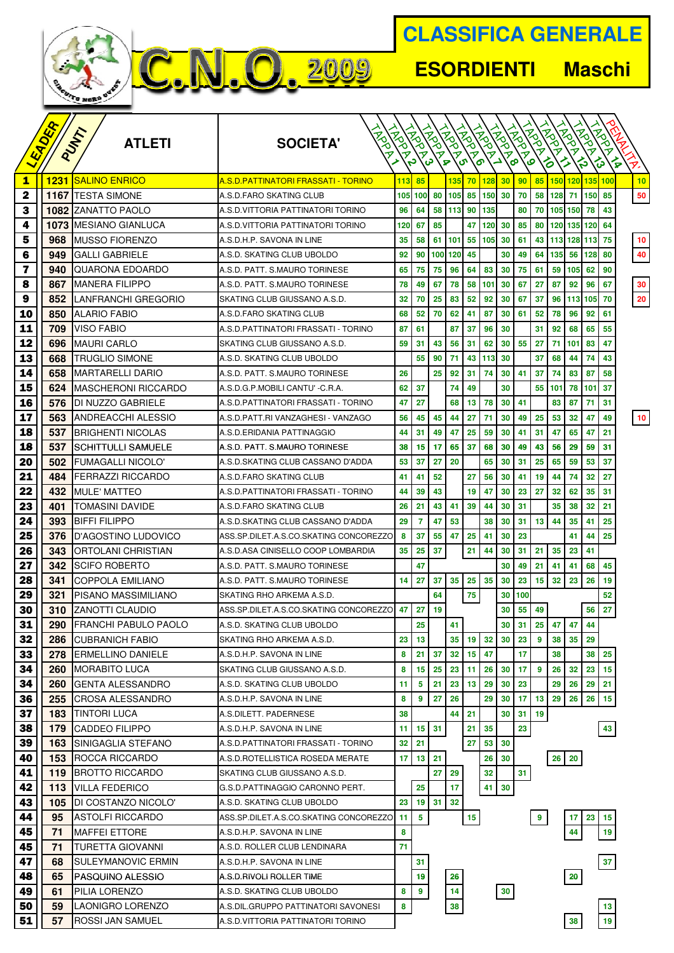| <b>CLASSIFICA GENERALE</b>         |
|------------------------------------|
| <b>ESORDIENTI</b><br><b>Maschi</b> |
|                                    |

|                         | ADER     | PUNT                                        |                                            |                 |                 |                 |                        |                                  |                 |                     |                 | <b>HARD</b>             | <b>HARD</b>        | <b>HARD</b>     | $\dot{z}_0$     | $\dot{z}_0$          |    |
|-------------------------|----------|---------------------------------------------|--------------------------------------------|-----------------|-----------------|-----------------|------------------------|----------------------------------|-----------------|---------------------|-----------------|-------------------------|--------------------|-----------------|-----------------|----------------------|----|
|                         |          | <b>ATLETI</b>                               | <b>SOCIETA'</b><br>ァ                       | <b>ASON</b>     | <b>PROPERTY</b> | <b>PODS</b>     | <b>ASS</b><br>$\sigma$ | <b>ASS</b><br>$\bar{\mathbf{z}}$ | <b>PROPERTY</b> | <b>INSTEAD</b><br>ァ | <b>INSTEAD</b>  |                         |                    |                 | .ಸ<br>ァ         | .ಸ<br>$\bar{\bm{z}}$ |    |
|                         |          |                                             |                                            |                 | c,              | မ               | <b>P</b>               | $\sigma$<br>$\sigma$             |                 | َ کے<br>စ           | စ               |                         | ó                  |                 | ౪               | ∕∞<br>౪              | P, |
| $\mathbf{1}$            | 1231     | <b>ISALINO ENRICO</b>                       | <u>A.S.D.PATTINATORI FRASSATI - TORINO</u> | 113             | 85              |                 | 135                    | 70 <sub>2</sub>                  | 128             | 30 <sub>2</sub>     | 90 <sub>0</sub> |                         | 85 150 120 135 100 |                 |                 |                      | 10 |
| $\mathbf 2$             |          | <b>1167 ITESTA SIMONE</b>                   | A.S.D.FARO SKATING CLUB                    |                 | 105 100         | 80              | 105                    | 85                               | 150             | 30                  | 70              |                         | 58 128             | 71              | 150             | 85                   | 50 |
| 3                       |          | <b>1082 IZANATTO PAOLO</b>                  | A.S.D.VITTORIA PATTINATORI TORINO          | 96              | 64              |                 | 58 113 90 135          |                                  |                 |                     | 80              |                         | 70 105 150         |                 | 78              | 43                   |    |
| 4                       |          | <b>1073   MESIANO GIANLUCA</b>              | A.S.D.VITTORIA PATTINATORI TORINO          | 120             | 67              | 85              |                        | 47                               | 120             | 30                  | 85              | 80                      |                    | 120 135 120     |                 | 64                   |    |
| 5                       | 968      | <b>MUSSO FIORENZO</b>                       | A.S.D.H.P. SAVONA IN LINE                  | 35              | 58              |                 | 61 101                 |                                  | 55 105          | 30                  | 61              |                         | 43 113 128 113     |                 |                 | 75                   | 10 |
| 6                       | 949      | IGALLI GABRIELE                             | A.S.D. SKATING CLUB UBOLDO                 | 92              | 90              | 100             | 120                    | 45                               |                 | 30                  | 49              | 64                      | 135                | 56              | 128             | 80                   | 40 |
| $\overline{\mathbf{z}}$ | 940      | IQUARONA EDOARDO                            | A.S.D. PATT. S.MAURO TORINESE              | 65              | 75              | 75              | 96                     | 64                               | 83              | 30                  | 75              | 61                      | 59                 | 105             | 62              | 90                   |    |
| 8                       | 867      | MANERA FILIPPO                              | A.S.D. PATT. S.MAURO TORINESE              | 78              | 49              | 67              | 78                     | 58                               | 101             | 30                  | 67              | 27                      | 87                 | 92              | 96              | 67                   | 30 |
| 9                       | 852      | LANFRANCHI GREGORIO                         | SKATING CLUB GIUSSANO A.S.D.               | 32              | 70              | 25              | 83                     | 52                               | 92              | 30                  | 67              | 37                      | 96                 |                 | 113 105         | 70                   | 20 |
| 10                      | 850      | <b>ALARIO FABIO</b>                         | A.S.D.FARO SKATING CLUB                    | 68              | 52              | 70              | 62                     | 41                               | 87              | 30                  | 61              | 52                      | 78                 | 96              | 92              | 61                   |    |
| 11                      | 709      | <b>VISO FABIO</b>                           | A.S.D.PATTINATORI FRASSATI - TORINO        | 87              | 61              |                 | 87                     | 37                               | 96              | 30                  |                 | 31                      | 92                 | 68              | 65              | 55                   |    |
| 12                      | 696      | <b>MAURI CARLO</b>                          | SKATING CLUB GIUSSANO A.S.D.               | 59              | 31              | 43              | 56                     | 31                               | 62              | 30                  | 55              | 27                      | 71                 | 101             | 83              | 47                   |    |
| 13                      | 668      | <b>TRUGLIO SIMONE</b>                       | A.S.D. SKATING CLUB UBOLDO                 |                 | 55              | 90              | 71                     | 43                               | 113             | 30                  |                 | 37                      | 68                 | 44              | 74              | 43                   |    |
| 14                      | 658      | <b>MARTARELLI DARIO</b>                     | A.S.D. PATT. S.MAURO TORINESE              | 26              |                 | 25              | 92                     | 31                               | 74              | 30                  | 41              | 37                      | 74                 | 83              | 87              | 58                   |    |
| 15                      | 624      | <b>MASCHERONI RICCARDO</b>                  | A.S.D.G.P.MOBILI CANTU' - C.R.A.           | 62              | 37              |                 | 74                     | 49                               |                 | 30                  |                 | 55 <sub>1</sub>         | 101                | 78              | 101             | 37                   |    |
| 16                      | 576      | DI NUZZO GABRIELE                           | A.S.D. PATTINATORI FRASSATI - TORINO       | 47              | 27              |                 | 68                     | 13                               | 78              | 30                  | 41              |                         | 83                 | 87              | 71              | 31                   |    |
| 17                      | 563      | ANDREACCHI ALESSIO                          | A.S.D.PATT.RI VANZAGHESI - VANZAGO         | 56              | 45              | 45              | 44                     | 27                               | 71              | 30                  | 49              | 25                      | 53                 | 32              | 47              | 49                   | 10 |
| 18                      | 537      | <b>BRIGHENTI NICOLAS</b>                    | A.S.D.ERIDANIA PATTINAGGIO                 | 44              | 31              | 49              | 47                     | 25                               | 59              | 30                  | 41              | 31                      | 47                 | 65              | 47              | 21                   |    |
| 18                      | 537      | SCHITTULLI SAMUELE                          | A.S.D. PATT. S.MAURO TORINESE              | 38              | 15 <sub>1</sub> | 17              | 65                     | 37                               | 68              | 30                  | 49              | 43                      | 56                 | 29              | 59              | 31                   |    |
| 20                      | 502      | <b>FUMAGALLI NICOLO'</b>                    | A.S.D.SKATING CLUB CASSANO D'ADDA          | 53              | 37              | 27              | 20                     |                                  | 65              | 30                  | 31              | 25                      | 65                 | 59              | 53              | 37                   |    |
| 21                      | 484      | <b>FERRAZZI RICCARDO</b>                    | A.S.D.FARO SKATING CLUB                    | 41              | 41              | 52              |                        | 27                               | 56              | 30                  | 41              | 19                      | 44                 | 74              | 32 <sub>2</sub> | 27                   |    |
| 22                      | 432      | <b>MULE' MATTEO</b>                         | A.S.D.PATTINATORI FRASSATI - TORINO        | 44              | 39              | 43              |                        | 19                               | 47              | 30                  | 23              | 27                      | 32                 | 62              | 35              | 31                   |    |
| 23                      | 401      | TOMASINI DAVIDE                             | A.S.D.FARO SKATING CLUB                    | 26              | 21              | 43              | 41                     | 39                               | 44              | 30                  | 31              |                         | 35                 | 38              | 32 <sub>2</sub> | 21                   |    |
| 24                      | 393      | <b>BIFFI FILIPPO</b>                        | A.S.D.SKATING CLUB CASSANO D'ADDA          | 29              | 7               | 47              | 53                     |                                  | 38              | 30                  | 31              | 13 <sup>1</sup>         | 44                 | 35              | 41              | 25                   |    |
| 25                      | 376      | ID'AGOSTINO LUDOVICO                        | ASS.SP.DILET.A.S.CO.SKATING CONCOREZZO     | 8               | 37              | 55              | 47                     | 25                               | 41              | 30                  | 23              |                         |                    | 41              | 44              | 25                   |    |
| 26                      | 343      | ORTOLANI CHRISTIAN                          | A.S.D.ASA CINISELLO COOP LOMBARDIA         | 35              | 25              | 37              |                        | 21                               | 44              | 30                  | 31              | 21                      | 35                 | 23              | 41              |                      |    |
| 27                      | 342      | ISCIFO ROBERTO                              | A.S.D. PATT. S.MAURO TORINESE              |                 | 47              |                 |                        |                                  |                 | 30                  | 49              | 21                      | 41                 | 41              | 68              | 45                   |    |
| 28                      | 341      | ICOPPOLA EMILIANO                           | A.S.D. PATT. S.MAURO TORINESE              | 14 <sup>1</sup> | 27              | 37              | 35 <sup>1</sup>        | 25 <sub>1</sub>                  | 35              | 30                  | 23              | 15                      | 32 <sub>2</sub>    | 23              | 26              | 19                   |    |
| 29                      | 321      | PISANO MASSIMILIANO                         | SKATING RHO ARKEMA A.S.D.                  |                 |                 | 64              |                        | 75                               |                 | 30                  | 100             |                         |                    |                 |                 | 52                   |    |
| 30                      | 310      | <b>ZANOTTI CLAUDIO</b>                      | ASS.SP.DILET.A.S.CO.SKATING CONCOREZZO     | 47 I            | 27              | 19              |                        |                                  |                 | 30                  | 55 <sub>1</sub> | 49                      |                    |                 | 56              | 27                   |    |
| 31                      | 290      | <b>FRANCHI PABULO PAOLO</b>                 | A.S.D. SKATING CLUB UBOLDO                 |                 | 25              |                 | 41                     |                                  |                 | 30 <sup>1</sup>     | 31              |                         | 25 47 47           |                 | 44              |                      |    |
| 32                      | 286      | <b>CUBRANICH FABIO</b>                      | SKATING RHO ARKEMA A.S.D.                  | 23 <sub>1</sub> | 13              |                 | 35 <sup>1</sup>        | 19 <sup>1</sup>                  | 32 <sub>1</sub> | 30                  | 23              | 9                       | 38                 | 35              | 29              |                      |    |
| 33                      | 278      | <b>ERMELLINO DANIELE</b>                    | A.S.D.H.P. SAVONA IN LINE                  | 8               | 21              | 37              | 32 <sub>1</sub>        | 15                               | 47              |                     | 17              |                         | 38                 |                 | 38              | 25                   |    |
| 34                      | 260      | <b>IMORABITO LUCA</b>                       | SKATING CLUB GIUSSANO A.S.D.               | 8               | 15 <sub>1</sub> | 25              | 23                     | 11 <sub>1</sub>                  | 26              | 30                  | 17              | 9                       | 26                 | 32 <sub>2</sub> | 23              | 15                   |    |
| 34                      | 260      | <b>IGENTA ALESSANDRO</b>                    | A.S.D. SKATING CLUB UBOLDO                 | 11              | 5               | 21              | 23                     | 13 <sub>1</sub>                  | 29              | 30                  | 23              |                         | 29                 | 26              | 29              | 21                   |    |
| 36                      | 255      | <b>CROSA ALESSANDRO</b>                     | A.S.D.H.P. SAVONA IN LINE                  | 8               | 9               | 27              | 26                     |                                  | 29              | 30                  | 17 <sup>1</sup> | 13                      | 29                 | 26              | 26              | 15                   |    |
| 37                      | 183      | <b>TINTORI LUCA</b>                         | A.S.DILETT. PADERNESE                      | 38              |                 |                 | 44                     | 21                               |                 | 30                  | 31              | 19                      |                    |                 |                 |                      |    |
| 38                      | 179      | <b>CADDEO FILIPPO</b>                       | A.S.D.H.P. SAVONA IN LINE                  | 11              |                 | $15$ 31         |                        | 21                               | 35              |                     | 23              |                         |                    |                 |                 | 43                   |    |
| 39                      | 163      | SINIGAGLIA STEFANO                          | A.S.D.PATTINATORI FRASSATI - TORINO        |                 | $32$   21       |                 |                        | 27                               | 53 <sup>1</sup> | 30                  |                 |                         |                    |                 |                 |                      |    |
| 40                      | 153      | <b>ROCCA RICCARDO</b>                       | A.S.D. ROTELLISTICA ROSEDA MERATE          | 17 <sup>1</sup> | 13              | 21              |                        |                                  | 26              | 30                  |                 |                         | 26 20              |                 |                 |                      |    |
| 41                      | 119      | <b>BROTTO RICCARDO</b>                      | SKATING CLUB GIUSSANO A.S.D.               |                 |                 | 27 <sub>1</sub> | 29                     |                                  | 32              |                     | 31              |                         |                    |                 |                 |                      |    |
| 42                      | 113      | <b>VILLA FEDERICO</b>                       | G.S.D.PATTINAGGIO CARONNO PERT.            |                 | 25              |                 | 17                     |                                  | 41              | 30                  |                 |                         |                    |                 |                 |                      |    |
| 43                      | 105      | <b>DI COSTANZO NICOLO'</b>                  | A.S.D. SKATING CLUB UBOLDO                 | 23              |                 | $19$ 31         | 32 <sub>2</sub>        |                                  |                 |                     |                 |                         |                    |                 |                 |                      |    |
| 44                      | 95       | ASTOLFI RICCARDO                            | ASS.SP.DILET.A.S.CO.SKATING CONCOREZZO     | 11              | 5               |                 |                        | 15                               |                 |                     |                 | $\overline{\mathbf{9}}$ |                    |                 | 23              | 15                   |    |
| 45                      | 71       | <b>MAFFEI ETTORE</b>                        | A.S.D.H.P. SAVONA IN LINE                  | 8               |                 |                 |                        |                                  |                 |                     |                 |                         |                    | 44              |                 | 19                   |    |
| 45                      | 71       | TURETTA GIOVANNI                            | A.S.D. ROLLER CLUB LENDINARA               | 71              |                 |                 |                        |                                  |                 |                     |                 |                         |                    |                 |                 |                      |    |
| 47                      | 68       | <b>SULEYMANOVIC ERMIN</b>                   | A.S.D.H.P. SAVONA IN LINE                  |                 | 31              |                 |                        |                                  |                 |                     |                 |                         |                    |                 |                 | 37                   |    |
| 48                      | 65       | <b>PASQUINO ALESSIO</b>                     | A.S.D.RIVOLI ROLLER TIME                   |                 | 19              |                 | 26                     |                                  |                 |                     |                 |                         |                    | 20              |                 |                      |    |
| 49                      | 61       | PILIA LORENZO                               | A.S.D. SKATING CLUB UBOLDO                 | 8               | 9               |                 | 14                     |                                  |                 | 30 <sub>o</sub>     |                 |                         |                    |                 |                 |                      |    |
| 50<br>51                | 59<br>57 | LAONIGRO LORENZO<br><b>ROSSI JAN SAMUEL</b> | A.S.DIL.GRUPPO PATTINATORI SAVONESI        | 8               |                 |                 | 38                     |                                  |                 |                     |                 |                         |                    |                 |                 | 13<br>19             |    |
|                         |          |                                             | A.S.D.VITTORIA PATTINATORI TORINO          |                 |                 |                 |                        |                                  |                 |                     |                 |                         |                    | 38              |                 |                      |    |